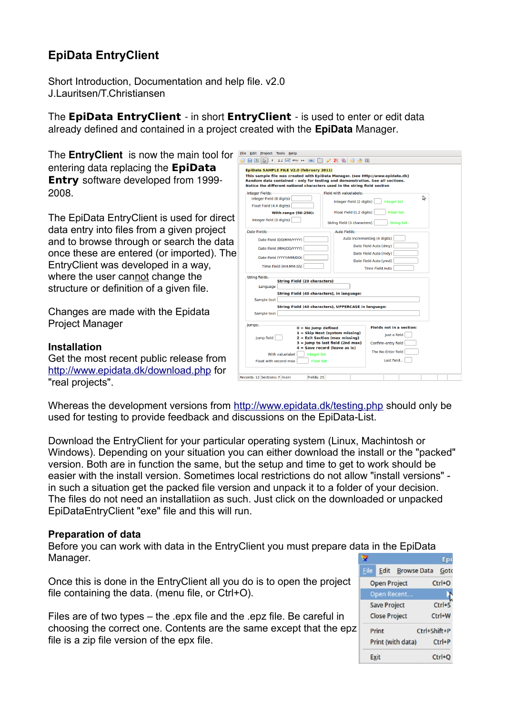# **EpiData EntryClient**

Short Introduction, Documentation and help file. v2.0 J.Lauritsen/T.Christiansen

The **EpiData EntryClient** - in short **EntryClient** - is used to enter or edit data already defined and contained in a project created with the **EpiData** Manager.

| The <b>EntryClient</b> is now the main tool for | File Edit Project Tools Help<br>$\Box$ $\Box$                                                                                                              |  |  |  |
|-------------------------------------------------|------------------------------------------------------------------------------------------------------------------------------------------------------------|--|--|--|
| entering data replacing the <b>EpiData</b>      |                                                                                                                                                            |  |  |  |
|                                                 | EpiData SAMPLE FILE V2.0 (february 2011)<br>This sample file was created with EpiData Manager. (see Http://www.epidata.dk)                                 |  |  |  |
| <b>Entry</b> software developed from 1999-      | Random data contained - only for testing and demonstration. See all sections.<br>Notice the different national characters used in the string field section |  |  |  |
| 2008.                                           | Integer Fields:<br>Field with valuelabels:                                                                                                                 |  |  |  |
|                                                 | Integer Field (8 digits)<br>Integer Field (2 digits)<br><b>Integet Set</b>                                                                                 |  |  |  |
|                                                 | Float Field (4.4 digits)<br>Float Field (1.2 digits)<br><b>Float Set</b><br><b>With range (50-250):</b>                                                    |  |  |  |
| The EpiData EntryClient is used for direct      | Integer field (3 digits)<br>String Field (3 characters)<br><b>String Set</b>                                                                               |  |  |  |
| data entry into files from a given project      | Date Fields:<br><b>Auto Fields:</b>                                                                                                                        |  |  |  |
|                                                 | Auto Incrementing (4 digits)<br>Date Field (DD/MM/YYYY)                                                                                                    |  |  |  |
| and to browse through or search the data        | Date Field Auto (dmy)<br>Date Field (MM/DD/YYYY)                                                                                                           |  |  |  |
| once these are entered (or imported). The       | Date Field Auto (mdy)<br>Date Field (YYYY/MM/DD)                                                                                                           |  |  |  |
| EntryClient was developed in a way,             | Date Field Auto (ymd)<br>Time Field (HH:MM:SS)<br><b>Time Field Auto</b>                                                                                   |  |  |  |
| where the user cannot change the                | <b>String fields:</b><br><b>String Field (20 characters)</b><br>Language                                                                                   |  |  |  |
| structure or definition of a given file.        |                                                                                                                                                            |  |  |  |
|                                                 | String Field (40 characters), in language:                                                                                                                 |  |  |  |
|                                                 | Sample text<br>String Field (40 characters), UPPERCASE in language:                                                                                        |  |  |  |
| Changes are made with the Epidata               | Sample text                                                                                                                                                |  |  |  |
| <b>Project Manager</b>                          | Jumps:                                                                                                                                                     |  |  |  |
|                                                 | <b>Fields not in a section:</b><br>$0 = No$ Jump defined<br>$1 =$ Skip Next (system missing)<br>Just a field                                               |  |  |  |
|                                                 | Jump field<br>2 = Exit Section (max missing)<br>$3 =$ Jump to last field (2nd max)<br>Confirm-entry field                                                  |  |  |  |
| <b>Installation</b>                             | $4 =$ Save record (leave as is)<br>The No-Enter field                                                                                                      |  |  |  |
| Get the most recent public release from         | With valuelabel<br><b>Integet Set</b><br>Last field<br>Float with second max<br><b>Float Set</b>                                                           |  |  |  |
| http://www.epidata.dk/download.php for          |                                                                                                                                                            |  |  |  |
|                                                 | Records: 12 Sections: 7 main<br>Fields: 25                                                                                                                 |  |  |  |

Whereas the development versions from<http://www.epidata.dk/testing.php>should only be used for testing to provide feedback and discussions on the EpiData-List.

Download the EntryClient for your particular operating system (Linux, Machintosh or Windows). Depending on your situation you can either download the install or the "packed" version. Both are in function the same, but the setup and time to get to work should be easier with the install version. Sometimes local restrictions do not allow "install versions" in such a situation get the packed file version and unpack it to a folder of your decision. The files do not need an installatiion as such. Just click on the downloaded or unpacked EpiDataEntryClient "exe" file and this will run.

#### **Preparation of data**

"real projects".

Before you can work with data in the EntryClient you must prepare data in the EpiData Manager.

Once this is done in the EntryClient all you do is to open the project file containing the data. (menu file, or Ctrl+O).

Files are of two types – the .epx file and the .epz file. Be careful in choosing the correct one. Contents are the same except that the epz file is a zip file version of the epx file.

|                                   |       |                         |              | Epi        |  |
|-----------------------------------|-------|-------------------------|--------------|------------|--|
| File                              |       | <b>Edit Browse Data</b> |              | Gotc       |  |
| $Ctrl + O$<br><b>Open Project</b> |       |                         |              |            |  |
|                                   |       | Open Recent             |              |            |  |
| <b>Save Project</b>               |       |                         | $Ctrl + S$   |            |  |
| <b>Close Project</b>              |       |                         | $Ctrl+W$     |            |  |
|                                   | Print |                         | Ctrl+Shift+P |            |  |
| Print (with data)                 |       |                         | $Ctrl+P$     |            |  |
|                                   | Exit  |                         |              | $Ctrl + O$ |  |
|                                   |       |                         |              |            |  |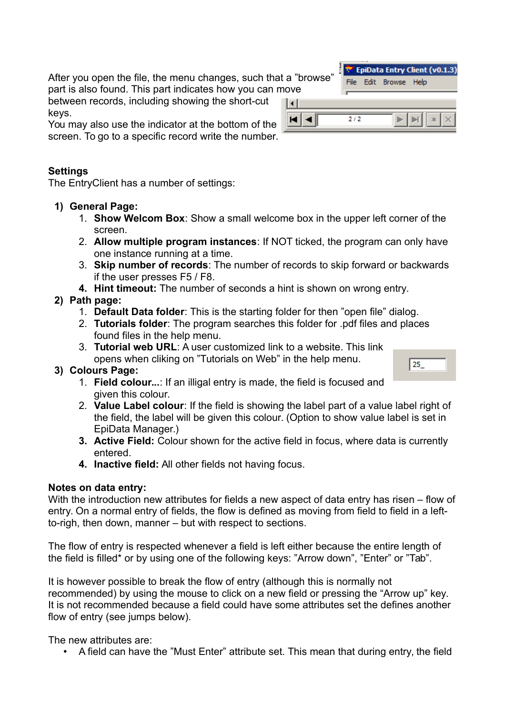After you open the file, the menu changes, such that a " part is also found. This part indicates how you can move

between records, including showing the short-cut keys.

You may also use the indicator at the bottom of the screen. To go to a specific record write the number.

#### **Settings**

The EntryClient has a number of settings:

- **1) General Page:**
	- 1. **Show Welcom Box**: Show a small welcome box in the upper left corner of the screen.
	- 2. **Allow multiple program instances**: If NOT ticked, the program can only have one instance running at a time.
	- 3. **Skip number of records**: The number of records to skip forward or backwards if the user presses F5 / F8.
	- **4. Hint timeout:** The number of seconds a hint is shown on wrong entry.

# **2) Path page:**

- 1. **Default Data folder**: This is the starting folder for then "open file" dialog.
- 2. **Tutorials folder**: The program searches this folder for .pdf files and places found files in the help menu.
- 3. **Tutorial web URL**: A user customized link to a website. This link opens when cliking on "Tutorials on Web" in the help menu.

## **3) Colours Page:**

- 1. **Field colour...**: If an illigal entry is made, the field is focused and given this colour.
- 2. **Value Label colour**: If the field is showing the label part of a value label right of the field, the label will be given this colour. (Option to show value label is set in EpiData Manager.)
- **3. Active Field:** Colour shown for the active field in focus, where data is currently entered.
- **4. Inactive field:** All other fields not having focus.

## **Notes on data entry:**

With the introduction new attributes for fields a new aspect of data entry has risen – flow of entry. On a normal entry of fields, the flow is defined as moving from field to field in a leftto-righ, then down, manner – but with respect to sections.

The flow of entry is respected whenever a field is left either because the entire length of the field is filled\* or by using one of the following keys: "Arrow down", "Enter" or "Tab".

It is however possible to break the flow of entry (although this is normally not recommended) by using the mouse to click on a new field or pressing the "Arrow up" key. It is not recommended because a field could have some attributes set the defines another flow of entry (see jumps below).

The new attributes are:

• A field can have the "Must Enter" attribute set. This mean that during entry, the field

| a "browse"<br>ove |     | File Edit Browse Help | <sup>7</sup> EpiData Entry Client (v0.1.3) |
|-------------------|-----|-----------------------|--------------------------------------------|
|                   | 212 |                       |                                            |